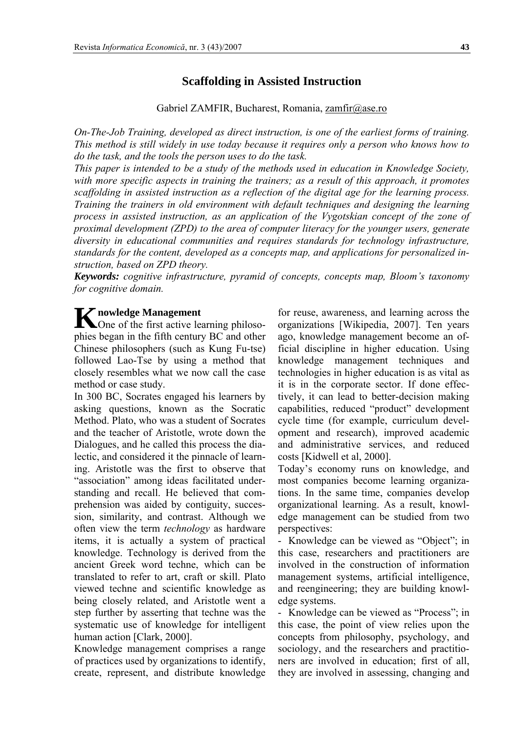# **Scaffolding in Assisted Instruction**

Gabriel ZAMFIR, Bucharest, Romania, [zamfir@ase.ro](mailto:zamfir@ase.ro)

*On-The-Job Training, developed as direct instruction, is one of the earliest forms of training. This method is still widely in use today because it requires only a person who knows how to do the task, and the tools the person uses to do the task.* 

*This paper is intended to be a study of the methods used in education in Knowledge Society, with more specific aspects in training the trainers; as a result of this approach, it promotes scaffolding in assisted instruction as a reflection of the digital age for the learning process. Training the trainers in old environment with default techniques and designing the learning process in assisted instruction, as an application of the Vygotskian concept of the zone of proximal development (ZPD) to the area of computer literacy for the younger users, generate diversity in educational communities and requires standards for technology infrastructure, standards for the content, developed as a concepts map, and applications for personalized instruction, based on ZPD theory.* 

*Keywords: cognitive infrastructure, pyramid of concepts, concepts map, Bloom's taxonomy for cognitive domain.*

## **nowledge Management**

**K** nowledge Management<br>
One of the first active learning philosophies be gan in the fifth century BC and other Chinese philosophers (such as Kung Fu-tse) followed Lao-Tse by using a method that closely resembles what we now call the case method or case study.

In 300 BC, Socrates engaged his learners by asking questions, known as the Socratic Method. Plato, who was a student of Socrates and the teacher of Aristotle, wrote down the Dialogues, and he called this process the dialectic, and considered it the pinnacle of learning. Aristotle was the first to observe that "association" among ideas facilitated understanding and recall. He believed that comprehension was aided by contiguity, succession, similarity, and contrast. Although we often view the term *technology* as hardware items, it is actually a system of practical knowledge. Technology is derived from the ancient Greek word techne, which can be translated to refer to art, craft or skill. Plato viewed techne and scientific knowledge as being closely related, and Aristotle went a step further by asserting that techne was the systematic use of knowledge for intelligent human action [Clark, 2000].

Knowledge management comprises a range of practices used by organizations to identify, create, represent, and distribute knowledge

for reuse, awareness, and learning across the organizations [Wikipedia, 2007]. Ten years ago, knowledge management become an official discipline in higher education. Using knowledge management techniques and technologies in higher education is as vital as it is in the corporate sector. If done effectively, it can lead to better-decision making capabilities, reduced "product" development cycle time (for example, curriculum development and research), improved academic and administrative services, and reduced costs [Kidwell et al, 2000].

Today's economy runs on knowledge, and most companies become learning organizations. In the same time, companies develop organizational learning. As a result, knowledge management can be studied from two perspectives:

- Knowledge can be viewed as "Object"; in this case, researchers and practitioners are involved in the construction of information management systems, artificial intelligence, and reengineering; they are building knowledge systems.

- Knowledge can be viewed as "Process"; in this case, the point of view relies upon the concepts from philosophy, psychology, and sociology, and the researchers and practitioners are involved in education; first of all, they are involved in assessing, changing and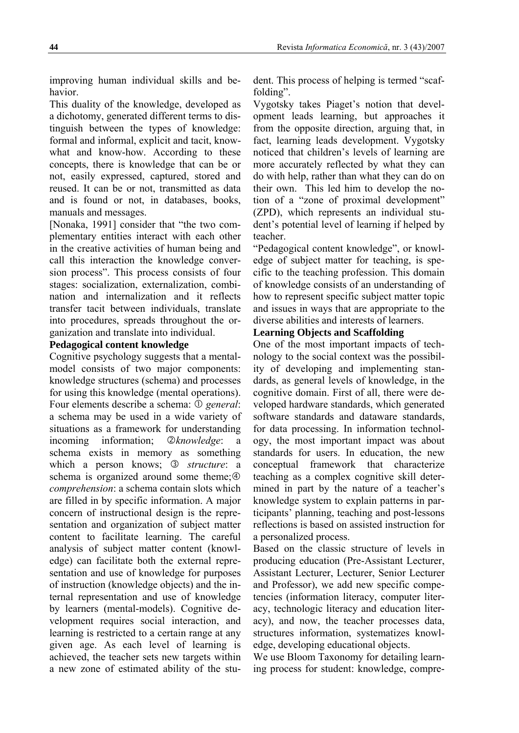improving human individual skills and behavior.

This duality of the knowledge, developed as a dichotomy, generated different terms to distinguish between the types of knowledge: formal and informal, explicit and tacit, knowwhat and know-how. According to these concepts, there is knowledge that can be or not, easily expressed, captured, stored and reused. It can be or not, transmitted as data and is found or not, in databases, books, manuals and messages.

[Nonaka, 1991] consider that "the two complementary entities interact with each other in the creative activities of human being and call this interaction the knowledge conversion process". This process consists of four stages: socialization, externalization, combination and internalization and it reflects transfer tacit between individuals, translate into procedures, spreads throughout the organization and translate into individual.

### **Pedagogical content knowledge**

Cognitive psychology suggests that a mentalmodel consists of two major components: knowledge structures (schema) and processes for using this knowledge (mental operations). Four elements describe a schema: ① *general*: a schema may be used in a wide variety of situations as a framework for understanding incoming information; *Qknowledge*: a schema exists in memory as something which a person knows; 3 *structure*: a schema is organized around some theme; $\circledA$ *comprehension*: a schema contain slots which are filled in by specific information. A major concern of instructional design is the representation and organization of subject matter content to facilitate learning. The careful analysis of subject matter content (knowledge) can facilitate both the external representation and use of knowledge for purposes of instruction (knowledge objects) and the internal representation and use of knowledge by learners (mental-models). Cognitive development requires social interaction, and learning is restricted to a certain range at any given age. As each level of learning is achieved, the teacher sets new targets within a new zone of estimated ability of the student. This process of helping is termed "scaffolding".

Vygotsky takes Piaget's notion that development leads learning, but approaches it from the opposite direction, arguing that, in fact, learning leads development. Vygotsky noticed that children's levels of learning are more accurately reflected by what they can do with help, rather than what they can do on their own. This led him to develop the notion of a "zone of proximal development" (ZPD), which represents an individual student's potential level of learning if helped by teacher.

"Pedagogical content knowledge", or knowledge of subject matter for teaching, is specific to the teaching profession. This domain of knowledge consists of an understanding of how to represent specific subject matter topic and issues in ways that are appropriate to the diverse abilities and interests of learners.

### **Learning Objects and Scaffolding**

One of the most important impacts of technology to the social context was the possibility of developing and implementing standards, as general levels of knowledge, in the cognitive domain. First of all, there were developed hardware standards, which generated software standards and dataware standards, for data processing. In information technology, the most important impact was about standards for users. In education, the new conceptual framework that characterize teaching as a complex cognitive skill determined in part by the nature of a teacher's knowledge system to explain patterns in participants' planning, teaching and post-lessons reflections is based on assisted instruction for a personalized process.

Based on the classic structure of levels in producing education (Pre-Assistant Lecturer, Assistant Lecturer, Lecturer, Senior Lecturer and Professor), we add new specific competencies (information literacy, computer literacy, technologic literacy and education literacy), and now, the teacher processes data, structures information, systematizes knowledge, developing educational objects.

We use Bloom Taxonomy for detailing learning process for student: knowledge, compre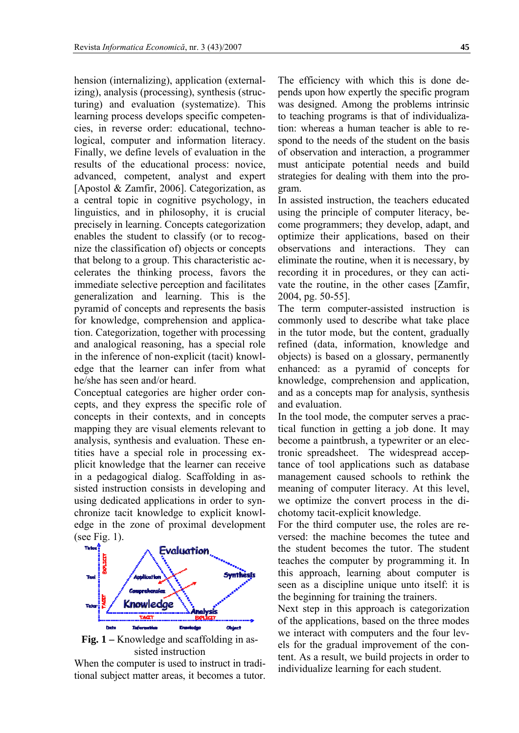hension (internalizing), application (externalizing), analysis (processing), synthesis (structuring) and evaluation (systematize). This learning process develops specific competencies, in reverse order: educational, technological, computer and information literacy. Finally, we define levels of evaluation in the results of the educational process: novice, advanced, competent, analyst and expert [Apostol & Zamfir, 2006]. Categorization, as a central topic in cognitive psychology, in linguistics, and in philosophy, it is crucial precisely in learning. Concepts categorization enables the student to classify (or to recognize the classification of) objects or concepts that belong to a group. This characteristic accelerates the thinking process, favors the immediate selective perception and facilitates generalization and learning. This is the pyramid of concepts and represents the basis for knowledge, comprehension and application. Categorization, together with processing and analogical reasoning, has a special role in the inference of non-explicit (tacit) knowledge that the learner can infer from what he/she has seen and/or heard.

Conceptual categories are higher order concepts, and they express the specific role of concepts in their contexts, and in concepts mapping they are visual elements relevant to analysis, synthesis and evaluation. These entities have a special role in processing explicit knowledge that the learner can receive in a pedagogical dialog. Scaffolding in assisted instruction consists in developing and using dedicated applications in order to synchronize tacit knowledge to explicit knowledge in the zone of proximal development (see [Fig. 1](#page-2-0)).



<span id="page-2-0"></span>When the computer is used to instruct in traditional subject matter areas, it becomes a tutor. The efficiency with which this is done depends upon how expertly the specific program was designed. Among the problems intrinsic to teaching programs is that of individualization: whereas a human teacher is able to respond to the needs of the student on the basis of observation and interaction, a programmer must anticipate potential needs and build strategies for dealing with them into the program.

In assisted instruction, the teachers educated using the principle of computer literacy, become programmers; they develop, adapt, and optimize their applications, based on their observations and interactions. They can eliminate the routine, when it is necessary, by recording it in procedures, or they can activate the routine, in the other cases [Zamfir, 2004, pg. 50-55].

The term computer-assisted instruction is commonly used to describe what take place in the tutor mode, but the content, gradually refined (data, information, knowledge and objects) is based on a glossary, permanently enhanced: as a pyramid of concepts for knowledge, comprehension and application, and as a concepts map for analysis, synthesis and evaluation.

In the tool mode, the computer serves a practical function in getting a job done. It may become a paintbrush, a typewriter or an electronic spreadsheet. The widespread acceptance of tool applications such as database management caused schools to rethink the meaning of computer literacy. At this level, we optimize the convert process in the dichotomy tacit-explicit knowledge.

For the third computer use, the roles are reversed: the machine becomes the tutee and the student becomes the tutor. The student teaches the computer by programming it. In this approach, learning about computer is seen as a discipline unique unto itself: it is the beginning for training the trainers.

Next step in this approach is categorization of the applications, based on the three modes we interact with computers and the four levels for the gradual improvement of the content. As a result, we build projects in order to individualize learning for each student.